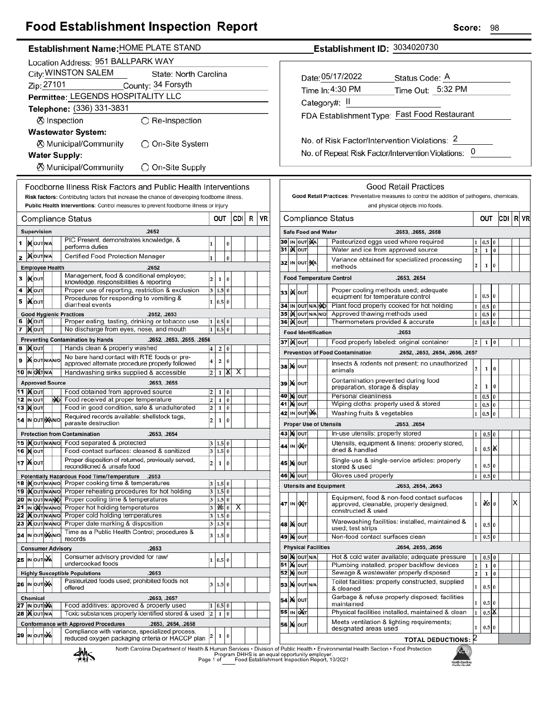## **Food Establishment Inspection Report**

| Establishment Name: HOME PLATE STAND |  |  |
|--------------------------------------|--|--|
|                                      |  |  |

|    |                                    |    | Location Address: 951 BALLPARK WAY                                                                      |                         |              |          |     |   |    |
|----|------------------------------------|----|---------------------------------------------------------------------------------------------------------|-------------------------|--------------|----------|-----|---|----|
|    |                                    |    | City: WINSTON SALEM<br>State: North Carolina                                                            |                         |              |          |     |   |    |
|    | Zip: 27101                         |    | County: 34 Forsyth                                                                                      |                         |              |          |     |   |    |
|    |                                    |    | Permittee: LEGENDS HOSPITALITY LLC                                                                      |                         |              |          |     |   |    |
|    |                                    |    | Telephone: (336) 331-3831                                                                               |                         |              |          |     |   |    |
|    |                                    |    |                                                                                                         |                         |              |          |     |   |    |
|    |                                    |    | <b>Ø</b> Inspection<br>)Re-Inspection                                                                   |                         |              |          |     |   |    |
|    |                                    |    | <b>Wastewater System:</b>                                                                               |                         |              |          |     |   |    |
|    |                                    |    | ⊗ Municipal/Community<br>つ On-Site System                                                               |                         |              |          |     |   |    |
|    |                                    |    | <b>Water Supply:</b>                                                                                    |                         |              |          |     |   |    |
|    |                                    |    | <b><math>\oslash</math> Municipal/Community</b><br>◯ On-Site Supply                                     |                         |              |          |     |   |    |
|    |                                    |    | Foodborne Illness Risk Factors and Public Health Interventions                                          |                         |              |          |     |   |    |
|    |                                    |    | Risk factors: Contributing factors that increase the chance of developing foodborne illness.            |                         |              |          |     |   |    |
|    |                                    |    | Public Health Interventions: Control measures to prevent foodborne illness or injury                    |                         |              |          |     |   |    |
|    |                                    |    | Compliance Status                                                                                       |                         | out          |          | CDI | R | VF |
|    | Supervision                        |    | .2652                                                                                                   |                         |              |          |     |   |    |
|    |                                    |    | PIC Present, demonstrates knowledge, &                                                                  |                         |              |          |     |   |    |
| 1  | <b>IX</b> OUTINA                   |    | performs duties                                                                                         | 1                       |              | 0        |     |   |    |
| 2  | <b>MOUTNA</b>                      |    | Certified Food Protection Manager                                                                       | 1                       |              | $\bf{0}$ |     |   |    |
|    | <b>Employee Health</b>             |    | .2652                                                                                                   |                         |              |          |     |   |    |
| з  | <b>IX</b> OUT                      |    | Management, food & conditional employee;<br>knowledge, responsibilities & reporting                     | 2                       | 1            | 0        |     |   |    |
| 4  | ∣)X∣oυτ                            |    | Proper use of reporting, restriction & exclusion                                                        | 3                       | 1.5          | $\bf{0}$ |     |   |    |
| 5  | IiXo∪т                             |    | Procedures for responding to vomiting &<br>diarrheal events                                             | 1                       | 0.5          | $\bf{0}$ |     |   |    |
|    |                                    |    | <b>Good Hygienic Practices</b><br>.2652, .2653                                                          |                         |              |          |     |   |    |
| 6  | ∣) <b>X</b>  оυт                   |    | Proper eating, tasting, drinking or tobacco use                                                         | 1                       | 0.5          | 0        |     |   |    |
| 7  | <b>IX</b> OUT                      |    | No discharge from eyes, nose, and mouth                                                                 | 1                       | 0.5          | $\bf{0}$ |     |   |    |
| 8  |                                    |    | <b>Preventing Contamination by Hands</b><br>.2652, .2653, .2655, .2656<br>Hands clean & properly washed |                         |              |          |     |   |    |
|    | )X ∣о∪т                            |    | No bare hand contact with RTE foods or pre-                                                             | 4                       | 2            | 0        |     |   |    |
| 9  | <b>X</b> OUTNANO                   |    | approved alternate procedure properly followed                                                          | 4                       | 2            | 0        |     |   |    |
|    | 10  IN OXT N/A                     |    | Handwashing sinks supplied & accessible                                                                 | $\overline{\mathbf{c}}$ | 1            | x        | х   |   |    |
|    | <b>Approved Source</b>             |    | .2653, .2655                                                                                            |                         |              |          |     |   |    |
| 11 | <b>XOUT</b><br>12 IN OUT           | ŊЮ | Food obtained from approved source<br>Food received at proper temperature                               | 2<br>2                  | 1<br>1       | 0<br>0   |     |   |    |
|    | 13   <b>)(</b>  оит                |    | Food in good condition, safe & unadulterated                                                            | 2                       | 1            | 0        |     |   |    |
|    | 14 IN OUT NANO                     |    | Required records available: shellstock tags,<br>parasite destruction                                    | $\overline{c}$          | 1            | 0        |     |   |    |
|    |                                    |    | <b>Protection from Contamination</b><br>.2653, .2654                                                    |                         |              |          |     |   |    |
|    | 15  )(OUTN/AN/O                    |    | Food separated & protected                                                                              |                         | 3 1.5 0      |          |     |   |    |
|    | 16 <b>Mout</b>                     |    | Food-contact surfaces: cleaned & sanitized                                                              |                         | 3 1.5 0      |          |     |   |    |
|    | 17  Ж о <b>лт</b>                  |    | Proper disposition of returned, previously served,<br>reconditioned & unsafe food                       | $\overline{\mathbf{c}}$ | 1            | 0        |     |   |    |
|    |                                    |    | Potentially Hazardous Food Time/Temperature<br>.2653                                                    |                         |              |          |     |   |    |
|    | 18  iX OUT N/AN/O                  |    | Proper cooking time & temperatures                                                                      | 3                       | 1.5          | 0        |     |   |    |
|    | 19  IX OUT N/AN/O                  |    | Proper reheating procedures for hot holding                                                             | 3                       | 1.5          | $\bf{0}$ |     |   |    |
|    | 20 IN OUT NANO<br>21  IN OXTN/AN/O |    | Proper cooling time & temperatures<br>Proper hot holding temperatures                                   | 3<br>3                  | 1.5<br>125   | 0<br>0   | х   |   |    |
|    | 22 D OUTNANO                       |    | Proper cold holding temperatures                                                                        | 3                       | 1.5          | $\bf{0}$ |     |   |    |
|    | 23   OUTNANO                       |    | Proper date marking & disposition                                                                       | 3                       | 1.5          | 0        |     |   |    |
|    | 24  IN OUT NANO                    |    | Time as a Public Health Control; procedures &<br>records                                                | 3                       | 1.5          | $\bf{0}$ |     |   |    |
|    |                                    |    | <b>Consumer Advisory</b><br>.2653                                                                       |                         |              |          |     |   |    |
|    | 25 IN OUTING                       |    | Consumer advisory provided for raw/                                                                     | 1                       | 0.5          | 0        |     |   |    |
|    |                                    |    | undercooked foods<br><b>Highly Susceptible Populations</b><br>.2653                                     |                         |              |          |     |   |    |
|    | 26  IN OUT NA                      |    | Pasteurized foods used; prohibited foods not                                                            | 3                       | 1.5          | $\bf{0}$ |     |   |    |
|    |                                    |    | offered                                                                                                 |                         |              |          |     |   |    |
|    | <b>Chemical</b><br>27 IN OUT NA    |    | .2653, .2657<br>Food additives: approved & properly used                                                | 1                       | $_{0.5}$     | 0        |     |   |    |
|    | <b>28  ) OUTNA</b>                 |    | Toxic substances properly identified stored & used                                                      | 2                       | $\mathbf{1}$ | 0        |     |   |    |
|    |                                    |    | <b>Conformance with Approved Procedures</b><br>.2653, .2654, .2658                                      |                         |              |          |     |   |    |
|    | 29 IN OUT NA                       |    | Compliance with variance, specialized process,<br>reduced oxygen packaging criteria or HACCP plan       | 2                       | 1            | 0        |     |   |    |
|    |                                    |    |                                                                                                         |                         |              |          |     |   |    |

Establishment ID: 3034020730

| Date: 05/17/2022<br>Time In: 4:30 PM         | Status Code: A<br>Time Out: 5:32 PM |  |  |  |  |  |  |
|----------------------------------------------|-------------------------------------|--|--|--|--|--|--|
| Category#: II                                |                                     |  |  |  |  |  |  |
| FDA Establishment Type: Fast Food Restaurant |                                     |  |  |  |  |  |  |
|                                              |                                     |  |  |  |  |  |  |

No. of Risk Factor/Intervention Violations: 2 No. of Repeat Risk Factor/Intervention Violations: 0

|    |    |                           |                            | <b>Good Retail Practices</b>                                                                                 |                |              |          |     |    |    |
|----|----|---------------------------|----------------------------|--------------------------------------------------------------------------------------------------------------|----------------|--------------|----------|-----|----|----|
|    |    |                           |                            | Good Retail Practices: Preventative measures to control the addition of pathogens, chemicals,                |                |              |          |     |    |    |
|    |    |                           |                            | and physical objects into foods.                                                                             |                |              |          |     |    |    |
|    |    |                           |                            | Compliance Status                                                                                            |                | OUT          |          | CDI | RI | VR |
|    |    |                           | <b>Safe Food and Water</b> | .2653, .2655, .2658                                                                                          |                |              |          |     |    |    |
| 30 | IN | OUT NA                    |                            | Pasteurized eggs used where required                                                                         | 1              | 0.5          | 0        |     |    |    |
| 31 |    | <b>K</b> lout             |                            | Water and ice from approved source                                                                           | $\overline{a}$ | 1            | $\bf{0}$ |     |    |    |
|    |    | 32 IN OUT NA              |                            | Variance obtained for specialized processing<br>methods                                                      | 2              | 1            | 0        |     |    |    |
|    |    |                           |                            | <b>Food Temperature Control</b><br>.2653, .2654                                                              |                |              |          |     |    |    |
| 33 |    | <b>K</b> lout             |                            | Proper cooling methods used; adequate<br>equipment for temperature control                                   | 1              | 0.5          | $\bf{0}$ |     |    |    |
| 34 |    | IN OUT N/A NO             |                            | Plant food properly cooked for hot holding                                                                   | 1              | 0.5          | 0        |     |    |    |
| 35 |    | IX OUT N/A                | N/O                        | Approved thawing methods used                                                                                | 1              | 0.5          | 0        |     |    |    |
| 36 | K  | OUT                       |                            | Thermometers provided & accurate                                                                             | 1              | 0.5          | 0        |     |    |    |
|    |    |                           | <b>Food Identification</b> | .2653                                                                                                        |                |              |          |     |    |    |
|    |    | 37∣)(∥о∪т                 |                            | Food properly labeled: original container                                                                    | 2              | 1            | 0        |     |    |    |
|    |    |                           |                            | <b>Prevention of Food Contamination</b><br>.2652, .2653, .2654, .2656, .2657                                 |                |              |          |     |    |    |
| 38 | M  | OUT                       |                            | Insects & rodents not present; no unauthorized<br>animals                                                    | 2              | 1            | 0        |     |    |    |
| 39 |    | <b>X</b> OUT              |                            | Contamination prevented during food<br>preparation, storage & display                                        | 2              | 1            | 0        |     |    |    |
| 40 | M  | OUT                       |                            | Personal cleanliness                                                                                         | 1              | 0.5          | 0        |     |    |    |
| 41 | M  | OUT                       |                            | Wiping cloths: properly used & stored                                                                        | 1              | 0.5          | 0        |     |    |    |
| 42 |    | IN OUT NA                 |                            | Washing fruits & vegetables                                                                                  | 1              | 0.5          | 0        |     |    |    |
|    |    |                           |                            | <b>Proper Use of Utensils</b><br>.2653, .2654                                                                |                |              |          |     |    |    |
|    |    | 43   XI   OUT             |                            | In-use utensils: properly stored                                                                             | 1              | 0.5          | $\bf{0}$ |     |    |    |
| 44 | IN | <b>DAT</b>                |                            | Utensils, equipment & linens: properly stored,<br>dried & handled                                            | 1              | 0.5          | х        |     |    |    |
| 45 | M  | OUT                       |                            | Single-use & single-service articles: properly<br>stored & used                                              | 1              | 0.5          | $\bf{0}$ |     |    |    |
| 46 | M  | OUT                       |                            | Gloves used properly                                                                                         | $\mathbf{1}$   | 0.5          | $\bf{0}$ |     |    |    |
|    |    |                           |                            | <b>Utensils and Equipment</b><br>.2653, .2654, .2663                                                         |                |              |          |     |    |    |
| 47 |    | IN <b>DAT</b>             |                            | Equipment, food & non-food contact surfaces<br>approved, cleanable, properly designed,<br>constructed & used | 1              | ò ≲olo       |          |     | X  |    |
|    |    | 48   <b>X</b>   оит       |                            | Warewashing facilities: installed, maintained &<br>used; test strips                                         | 1              | 0.5 0        |          |     |    |    |
| 49 |    | <b>X</b> OUT              |                            | Non-food contact surfaces clean                                                                              | 1              | 0.5          | 0        |     |    |    |
|    |    |                           | <b>Physical Facilities</b> | .2654, .2655, .2656                                                                                          |                |              |          |     |    |    |
|    |    | <b>50   X</b>   OUT   N/A |                            | Hot & cold water available; adequate pressure                                                                | 1              | 0.5          | 0        |     |    |    |
| 51 | м  | OUT                       |                            | Plumbing installed; proper backflow devices                                                                  | 2              | $\mathbf{1}$ | 0        |     |    |    |
| 52 | ×  | OUT                       |                            | Sewage & wastewater properly disposed                                                                        | $\overline{2}$ | $\mathbf{1}$ | 0        |     |    |    |
|    |    | <b>53 X</b> OUT N/A       |                            | Toilet facilities: properly constructed, supplied<br>& cleaned                                               | 1              | 0.5 0        |          |     |    |    |
|    |    | 54   Ж   оuт              |                            | Garbage & refuse properly disposed; facilities<br>maintained                                                 | 1              | 0.5 0        |          |     |    |    |
|    |    | 55 IN OAT                 |                            | Physical facilities installed, maintained & clean                                                            | 1              | $0.5$ X      |          |     |    |    |
|    |    | 56   ) ф   ouт            |                            | Meets ventilation & lighting requirements;<br>designated areas used                                          | 1              | 0.5 0        |          |     |    |    |
|    |    |                           |                            | <b>TOTAL DEDUCTIONS: 2</b>                                                                                   |                |              |          |     |    |    |
|    |    |                           |                            | n of Public Health • Environmental Health Section • Food Protection                                          |                |              |          |     |    |    |

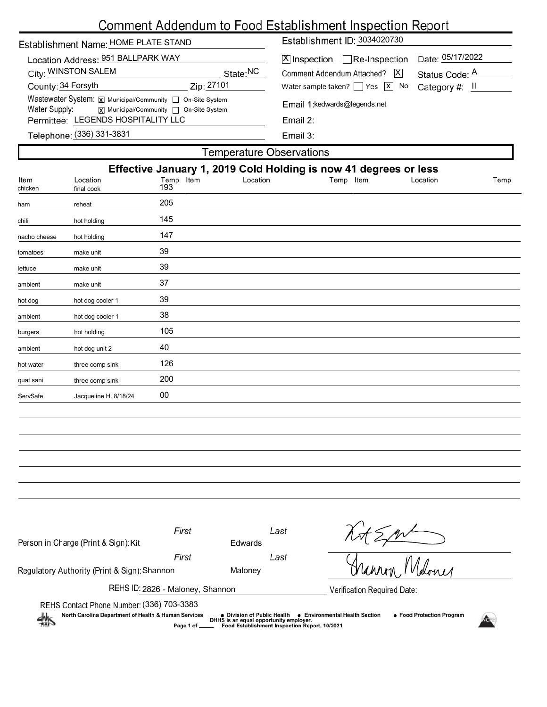# Comment Addendum to Food Establishment Inspection Report

| Establishment Name: HOME PLATE STAND                                                                                                                      |                        | Establishment ID: 3034020730                                                                                                                          |                                                               |  |  |  |  |
|-----------------------------------------------------------------------------------------------------------------------------------------------------------|------------------------|-------------------------------------------------------------------------------------------------------------------------------------------------------|---------------------------------------------------------------|--|--|--|--|
| Location Address: 951 BALLPARK WAY<br>City: WINSTON SALEM<br>County: 34 Forsyth                                                                           | State:NC<br>Zip: 27101 | $ \mathsf{X} $ Inspection $\Box$ Re-Inspection<br> X <br>Comment Addendum Attached?<br>Water sample taken?   $\left  \right $ Yes $\left  \right $ No | Date: 05/17/2022<br>Status Code: A<br>Category #: $\parallel$ |  |  |  |  |
| Wastewater System: X Municipal/Community   On-Site System<br>Water Supply:<br>X Municipal/Community non-Site System<br>Permittee: LEGENDS HOSPITALITY LLC |                        | Email 1: kedwards@legends.net<br>Email $2:$                                                                                                           |                                                               |  |  |  |  |
| Telephone: (336) 331-3831                                                                                                                                 |                        | Email $3:$                                                                                                                                            |                                                               |  |  |  |  |
| Temperature Observations                                                                                                                                  |                        |                                                                                                                                                       |                                                               |  |  |  |  |
|                                                                                                                                                           |                        | Effective January 1, 2019 Cold Holding is now 41 degrees or less                                                                                      |                                                               |  |  |  |  |

| Effective January 1, 2019 Cold Holding is now 41 degrees or less |                        |                  |          |           |          |      |
|------------------------------------------------------------------|------------------------|------------------|----------|-----------|----------|------|
| Item<br>chicken                                                  | Location<br>final cook | Temp Item<br>193 | Location | Temp Item | Location | Temp |
| ham                                                              | reheat                 | 205              |          |           |          |      |
| chili                                                            | hot holding            | 145              |          |           |          |      |
| nacho cheese                                                     | hot holding            | 147              |          |           |          |      |
| tomatoes                                                         | make unit              | 39               |          |           |          |      |
| lettuce                                                          | make unit              | 39               |          |           |          |      |
| ambient                                                          | make unit              | 37               |          |           |          |      |
| hot dog                                                          | hot dog cooler 1       | 39               |          |           |          |      |
| ambient                                                          | hot dog cooler 1       | 38               |          |           |          |      |
| burgers                                                          | hot holding            | 105              |          |           |          |      |
| ambient                                                          | hot dog unit 2         | 40               |          |           |          |      |
| hot water                                                        | three comp sink        | 126              |          |           |          |      |
| quat sani                                                        | three comp sink        | 200              |          |           |          |      |
| ServSafe                                                         | Jacqueline H. 8/18/24  | 00               |          |           |          |      |
|                                                                  |                        |                  |          |           |          |      |

| Person in Charge (Print & Sign): Kit                                                                                                                                                                                                                                                                             | First | Edwards | Last |                             |  |  |  |
|------------------------------------------------------------------------------------------------------------------------------------------------------------------------------------------------------------------------------------------------------------------------------------------------------------------|-------|---------|------|-----------------------------|--|--|--|
|                                                                                                                                                                                                                                                                                                                  | First |         | Last |                             |  |  |  |
| Regulatory Authority (Print & Sign): Shannon                                                                                                                                                                                                                                                                     |       | Maloney |      |                             |  |  |  |
| REHS ID: 2826 - Maloney, Shannon                                                                                                                                                                                                                                                                                 |       |         |      | Verification Required Date: |  |  |  |
| REHS Contact Phone Number: (336) 703-3383<br>North Carolina Department of Health & Human Services<br>● Food Protection Program<br>• Environmental Health Section<br>• Division of Public Health<br>DHHS is an equal opportunity employer.<br>711<br>Food Establishment Inspection Report, 10/2021<br>Page 1 of _ |       |         |      |                             |  |  |  |